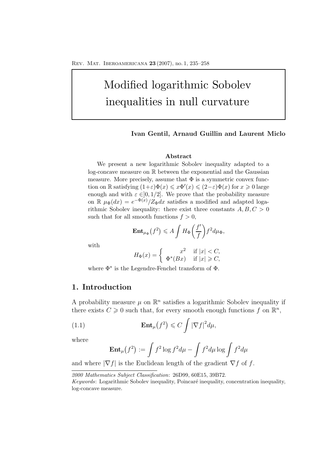# Modified logarithmic Sobolev inequalities in null curvature

#### **Ivan Gentil, Arnaud Guillin and Laurent Miclo**

# **Abstract**

We present a new logarithmic Sobolev inequality adapted to a log-concave measure on R between the exponential and the Gaussian measure. More precisely, assume that  $\Phi$  is a symmetric convex function on  $\mathbb R$  satisfying  $(1+\varepsilon)\Phi(x) \leq x\Phi'(x) \leq (2-\varepsilon)\Phi(x)$  for  $x \geq 0$  large enough and with  $\varepsilon \in ]0,1/2]$ . We prove that the probability measure on  $\mathbb{R} \mu_{\Phi}(dx) = e^{-\Phi(x)}/Z_{\Phi}dx$  satisfies a modified and adapted logarithmic Sobolev inequality: there exist three constants  $A, B, C > 0$ such that for all smooth functions  $f > 0$ ,

$$
\mathbf{Ent}_{\mu_{\Phi}}(f^2) \leqslant A \int H_{\Phi}\left(\frac{f'}{f}\right) f^2 d\mu_{\Phi},
$$

with

$$
H_{\Phi}(x) = \begin{cases} x^2 & \text{if } |x| < C, \\ \Phi^*(Bx) & \text{if } |x| \ge C, \end{cases}
$$

where  $\Phi^*$  is the Legendre-Fenchel transform of  $\Phi$ .

# **1. Introduction**

A probability measure  $\mu$  on  $\mathbb{R}^n$  satisfies a logarithmic Sobolev inequality if there exists  $C \geq 0$  such that, for every smooth enough functions f on  $\mathbb{R}^n$ ,

(1.1) 
$$
\mathbf{Ent}_{\mu}(f^2) \leqslant C \int |\nabla f|^2 d\mu,
$$

where

$$
\mathbf{Ent}_{\mu}(f^2) := \int f^2 \log f^2 d\mu - \int f^2 d\mu \log \int f^2 d\mu
$$

and where  $|\nabla f|$  is the Euclidean length of the gradient  $\nabla f$  of f.

*<sup>2000</sup> Mathematics Subject Classification*: 26D99, 60E15, 39B72.

*Keywords*: Logarithmic Sobolev inequality, Poincaré inequality, concentration inequality, log-concave measure.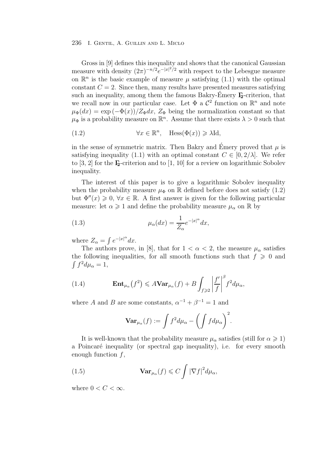Gross in [9] defines this inequality and shows that the canonical Gaussian measure with density  $(2\pi)^{-n/2}e^{-|x|^2/2}$  with respect to the Lebesgue measure on  $\mathbb{R}^n$  is the basic example of measure  $\mu$  satisfying (1.1) with the optimal constant  $C = 2$ . Since then, many results have presented measures satisfying such an inequality, among them the famous Bakry-Emery **Γ**<sub>2</sub>-criterion, that we recall now in our particular case. Let  $\Phi$  a  $\mathcal{C}^2$  function on  $\mathbb{R}^n$  and note  $\mu_{\Phi}(dx) = \exp(-\Phi(x))/Z_{\Phi}dx$ ,  $Z_{\Phi}$  being the normalization constant so that  $\mu_{\Phi}$  is a probability measure on  $\mathbb{R}^n$ . Assume that there exists  $\lambda > 0$  such that

(1.2) 
$$
\forall x \in \mathbb{R}^n, \quad \text{Hess}(\Phi(x)) \geq \lambda \text{Id},
$$

in the sense of symmetric matrix. Then Bakry and Emery proved that  $\mu$  is satisfying inequality (1.1) with an optimal constant  $C \in [0, 2/\lambda]$ . We refer to [3, 2] for the **Γ2**-criterion and to [1, 10] for a review on logarithmic Sobolev inequality.

The interest of this paper is to give a logarithmic Sobolev inequality when the probability measure  $\mu_{\Phi}$  on R defined before does not satisfy (1.2) but  $\Phi''(x) \geq 0, \forall x \in \mathbb{R}$ . A first answer is given for the following particular measure: let  $\alpha \geq 1$  and define the probability measure  $\mu_{\alpha}$  on  $\mathbb R$  by

(1.3) 
$$
\mu_{\alpha}(dx) = \frac{1}{Z_{\alpha}} e^{-|x|^{\alpha}} dx,
$$

where  $Z_{\alpha} = \int e^{-|x|^{\alpha}} dx$ .

The authors prove, in [8], that for  $1 < \alpha < 2$ , the measure  $\mu_{\alpha}$  satisfies the following inequalities, for all smooth functions such that  $f \geqslant 0$  and  $\int f^2 d\mu_\alpha = 1,$ 

(1.4) 
$$
\mathbf{Ent}_{\mu_{\alpha}}(f^{2}) \leq A \mathbf{Var}_{\mu_{\alpha}}(f) + B \int_{f \geqslant 2} \left| \frac{f'}{f} \right|^{3} f^{2} d\mu_{\alpha},
$$

where A and B are some constants,  $\alpha^{-1} + \beta^{-1} = 1$  and

$$
\operatorname{Var}_{\mu_{\alpha}}(f) := \int f^2 d\mu_{\alpha} - \left( \int f d\mu_{\alpha} \right)^2.
$$

It is well-known that the probability measure  $\mu_{\alpha}$  satisfies (still for  $\alpha \geqslant 1$ ) a Poincaré inequality (or spectral gap inequality), i.e. for every smooth enough function  $f$ ,

(1.5) 
$$
\mathbf{Var}_{\mu_{\alpha}}(f) \leqslant C \int |\nabla f|^2 d\mu_{\alpha},
$$

where  $0 < C < \infty$ .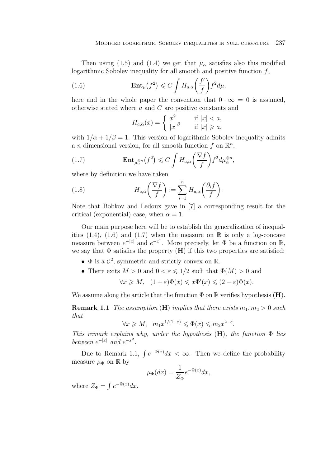Then using (1.5) and (1.4) we get that  $\mu_{\alpha}$  satisfies also this modified logarithmic Sobolev inequality for all smooth and positive function  $f$ ,

(1.6) 
$$
\mathbf{Ent}_{\mu}(f^2) \leqslant C \int H_{a,\alpha}\left(\frac{f'}{f}\right) f^2 d\mu,
$$

here and in the whole paper the convention that  $0 \cdot \infty = 0$  is assumed, otherwise stated where a and C are positive constants and

$$
H_{a,\alpha}(x) = \begin{cases} x^2 & \text{if } |x| < a, \\ |x|^\beta & \text{if } |x| \ge a, \end{cases}
$$

with  $1/\alpha + 1/\beta = 1$ . This version of logarithmic Sobolev inequality admits a n dimensional version, for all smooth function f on  $\mathbb{R}^n$ ,

(1.7) 
$$
\mathbf{Ent}_{\mu_{\alpha}^{\otimes n}}(f^2) \leqslant C \int H_{a,\alpha}\left(\frac{\nabla f}{f}\right) f^2 d\mu_{\alpha}^{\otimes n},
$$

where by definition we have taken

(1.8) 
$$
H_{a,\alpha}\left(\frac{\nabla f}{f}\right) := \sum_{i=1}^n H_{a,\alpha}\left(\frac{\partial_i f}{f}\right).
$$

Note that Bobkov and Ledoux gave in [7] a corresponding result for the critical (exponential) case, when  $\alpha = 1$ .

Our main purpose here will be to establish the generalization of inequalities  $(1.4)$ ,  $(1.6)$  and  $(1.7)$  when the measure on  $\mathbb R$  is only a log-concave measure between  $e^{-|x|}$  and  $e^{-x^2}$ . More precisely, let  $\Phi$  be a function on  $\mathbb{R}$ , we say that  $\Phi$  satisfies the property  $(H)$  if this two properties are satisfied:

- $\Phi$  is a  $\mathcal{C}^2$ , symmetric and strictly convex on R.
- There exits  $M > 0$  and  $0 < \varepsilon \leq 1/2$  such that  $\Phi(M) > 0$  and

$$
\forall x \geqslant M, \ \ (1+\varepsilon)\Phi(x) \leqslant x\Phi'(x) \leqslant (2-\varepsilon)\Phi(x).
$$

We assume along the article that the function  $\Phi$  on  $\mathbb R$  verifies hypothesis (**H**).

**Remark 1.1** *The assumption* (**H**) *implies that there exists*  $m_1, m_2 > 0$  *such that*

$$
\forall x \geqslant M, \quad m_1 x^{1/(1-\varepsilon)} \leqslant \Phi(x) \leqslant m_2 x^{2-\varepsilon}.
$$

*This remark explains why, under the hypothesis* (**H**)*, the function* Φ *lies between*  $e^{-|x|}$  *and*  $e^{-x^2}$ *.* 

Due to Remark 1.1,  $\int e^{-\Phi(x)}dx < \infty$ . Then we define the probability measure  $\mu_{\Phi}$  on  $\mathbb{R}$  by

$$
\mu_{\Phi}(dx) = \frac{1}{Z_{\Phi}} e^{-\Phi(x)} dx,
$$

where  $Z_{\Phi} = \int e^{-\Phi(x)} dx$ .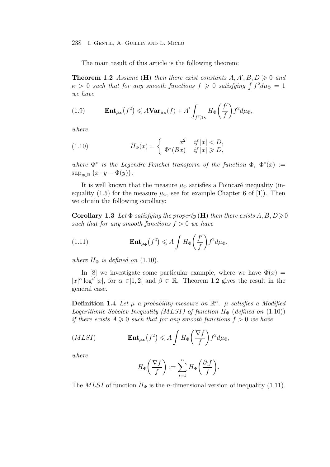The main result of this article is the following theorem:

**Theorem 1.2** *Assume* (**H**) *then there exist constants*  $A, A', B, D \geq 0$  *and*  $\kappa > 0$  such that for any smooth functions  $f \geq 0$  satisfying  $\int f^2 d\mu_{\Phi} = 1$ *we have*

(1.9) 
$$
\mathbf{Ent}_{\mu_{\Phi}}(f^2) \leq A \mathbf{Var}_{\mu_{\Phi}}(f) + A' \int_{f^2 \geq \kappa} H_{\Phi}\left(\frac{f'}{f}\right) f^2 d\mu_{\Phi},
$$

*where*

(1.10) 
$$
H_{\Phi}(x) = \begin{cases} x^2 & \text{if } |x| < D, \\ \Phi^*(Bx) & \text{if } |x| \ge D, \end{cases}
$$

*where*  $\Phi^*$  *is the Legendre-Fenchel transform of the function*  $\Phi$ ,  $\Phi^*(x)$  :=  $\sup_{y\in\mathbb{R}}\{x\cdot y-\Phi(y)\}.$ 

It is well known that the measure  $\mu_{\Phi}$  satisfies a Poincaré inequality (inequality (1.5) for the measure  $\mu_{\Phi}$ , see for example Chapter 6 of [1]). Then we obtain the following corollary:

**Corollary 1.3** *Let*  $\Phi$  *satisfying the property* (**H**) *then there exists*  $A, B, D \geq 0$ *such that for any smooth functions*  $f > 0$  *we have* 

(1.11) 
$$
\mathbf{Ent}_{\mu_{\Phi}}(f^2) \leqslant A \int H_{\Phi}\left(\frac{f'}{f}\right) f^2 d\mu_{\Phi},
$$

*where*  $H_{\Phi}$  *is defined on* (1.10).

In [8] we investigate some particular example, where we have  $\Phi(x)$  =  $|x|^{\alpha} \log^{\beta} |x|$ , for  $\alpha \in ]1,2[$  and  $\beta \in \mathbb{R}$ . Theorem 1.2 gives the result in the general case.

**Definition 1.4** Let  $\mu$  a probability measure on  $\mathbb{R}^n$ .  $\mu$  satisfies a Modified *Logarithmic Sobolev Inequality (MLSI) of function*  $H_{\Phi}$  (*defined on* (1.10)) *if there exists*  $A \geq 0$  *such that for any smooth functions*  $f > 0$  *we have* 

$$
(MLSI) \qquad \qquad \mathbf{Ent}_{\mu_{\Phi}}(f^2) \leqslant A \int H_{\Phi}\left(\frac{\nabla f}{f}\right) f^2 d\mu_{\Phi},
$$

*where*

$$
H_{\Phi}\left(\frac{\nabla f}{f}\right) := \sum_{i=1}^{n} H_{\Phi}\left(\frac{\partial_i f}{f}\right).
$$

The MLSI of function  $H_{\Phi}$  is the *n*-dimensional version of inequality (1.11).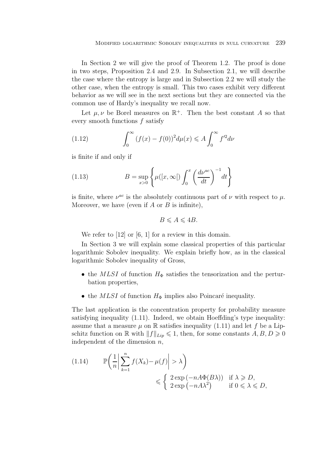In Section 2 we will give the proof of Theorem 1.2. The proof is done in two steps, Proposition 2.4 and 2.9. In Subsection 2.1, we will describe the case where the entropy is large and in Subsection 2.2 we will study the other case, when the entropy is small. This two cases exhibit very different behavior as we will see in the next sections but they are connected via the common use of Hardy's inequality we recall now.

Let  $\mu, \nu$  be Borel measures on  $\mathbb{R}^+$ . Then the best constant A so that every smooth functions f satisfy

(1.12) 
$$
\int_0^\infty (f(x) - f(0))^2 d\mu(x) \leq A \int_0^\infty f'^2 d\nu
$$

is finite if and only if

(1.13) 
$$
B = \sup_{x>0} \left\{ \mu([x,\infty[) \int_0^x \left( \frac{d\nu^{ac}}{dt} \right)^{-1} dt \right\}
$$

is finite, where  $\nu^{ac}$  is the absolutely continuous part of  $\nu$  with respect to  $\mu$ . Moreover, we have (even if  $A$  or  $B$  is infinite),

$$
B \leqslant A \leqslant 4B.
$$

We refer to [12] or [6, 1] for a review in this domain.

In Section 3 we will explain some classical properties of this particular logarithmic Sobolev inequality. We explain briefly how, as in the classical logarithmic Sobolev inequality of Gross,

- the MLSI of function  $H_{\Phi}$  satisfies the tensorization and the perturbation properties,
- the MLSI of function  $H_{\Phi}$  implies also Poincaré inequality.

The last application is the concentration property for probability measure satisfying inequality (1.11). Indeed, we obtain Hoeffding's type inequality: assume that a measure  $\mu$  on R satisfies inequality (1.11) and let f be a Lipschitz function on  $\mathbb{R}$  with  $||f||_{Lip} \leq 1$ , then, for some constants  $A, B, D \geq 0$ independent of the dimension  $n$ ,

$$
(1.14) \qquad \mathbb{P}\left(\frac{1}{n}\left|\sum_{k=1}^{n}f(X_k)-\mu(f)\right|>\lambda\right) \le \begin{cases} 2\exp\left(-nA\Phi(B\lambda)\right) & \text{if } \lambda \ge D, \\ 2\exp\left(-nA\lambda^2\right) & \text{if } 0 \le \lambda \le D, \end{cases}
$$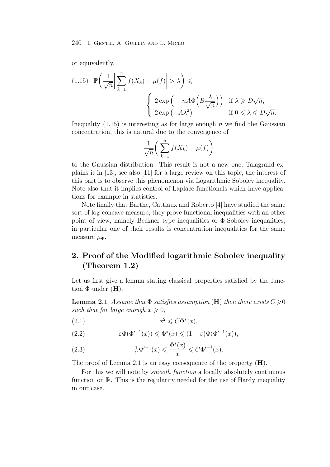or equivalently,

(1.15) 
$$
\mathbb{P}\left(\frac{1}{\sqrt{n}}\left|\sum_{k=1}^{n} f(X_k) - \mu(f)\right| > \lambda\right) \le
$$
  

$$
\begin{cases} 2 \exp\left(-nA\Phi\left(B\frac{\lambda}{\sqrt{n}}\right)\right) & \text{if } \lambda \geq D\sqrt{n}, \\ 2 \exp\left(-A\lambda^2\right) & \text{if } 0 \leq \lambda \leq D\sqrt{n}. \end{cases}
$$

Inequality  $(1.15)$  is interesting as for large enough n we find the Gaussian concentration, this is natural due to the convergence of

$$
\frac{1}{\sqrt{n}} \bigg( \sum_{k=1}^{n} f(X_k) - \mu(f) \bigg)
$$

to the Gaussian distribution. This result is not a new one, Talagrand explains it in [13], see also [11] for a large review on this topic, the interest of this part is to observe this phenomenon via Logarithmic Sobolev inequality. Note also that it implies control of Laplace functionals which have applications for example in statistics.

Note finally that Barthe, Cattiaux and Roberto [4] have studied the same sort of log-concave measure, they prove functional inequalities with an other point of view, namely Beckner type inequalities or  $\Phi$ -Sobolev inequalities, in particular one of their results is concentration inequalities for the same measure  $\mu_{\Phi}$ .

# **2. Proof of the Modified logarithmic Sobolev inequality (Theorem 1.2)**

Let us first give a lemma stating classical properties satisfied by the function  $\Phi$  under  $(H)$ .

**Lemma 2.1** *Assume that*  $\Phi$  *satisfies assumption* (**H**) *then there exists*  $C \geqslant 0$ such that for large enough  $x \geq 0$ ,

$$
(2.1) \t\t x^2 \leqslant C\Phi^*(x),
$$

(2.2) 
$$
\varepsilon \Phi(\Phi'^{-1}(x)) \leq \Phi^*(x) \leq (1-\varepsilon) \Phi(\Phi'^{-1}(x)),
$$

(2.3) 
$$
\frac{1}{C} \Phi'^{-1}(x) \leq \frac{\Phi^*(x)}{x} \leq C \Phi'^{-1}(x).
$$

The proof of Lemma 2.1 is an easy consequence of the property (**H**).

For this we will note by *smooth function* a locally absolutely continuous function on  $\mathbb{R}$ . This is the regularity needed for the use of Hardy inequality in our case.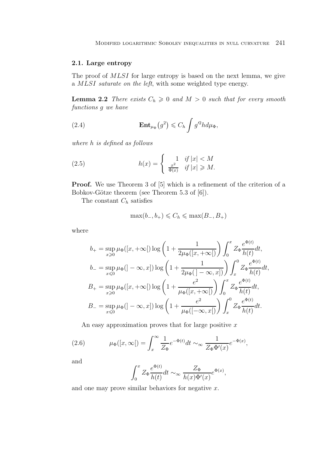### **2.1. Large entropy**

The proof of MLSI for large entropy is based on the next lemma, we give a MLSI *saturate on the left*, with some weighted type energy.

**Lemma 2.2** *There exists*  $C_h \geq 0$  *and*  $M > 0$  *such that for every smooth functions* g *we have*

(2.4) 
$$
\mathbf{Ent}_{\mu_{\Phi}}(g^2) \leq C_h \int g'^2 h d\mu_{\Phi},
$$

*where* h *is defined as follows*

(2.5) 
$$
h(x) = \begin{cases} 1 & \text{if } |x| < M \\ \frac{x^2}{\Phi(x)} & \text{if } |x| \ge M. \end{cases}
$$

**Proof.** We use Theorem 3 of [5] which is a refinement of the criterion of a Bobkov-Götze theorem (see Theorem 5.3 of  $[6]$ ).

The constant  $C_h$  satisfies

$$
\max(b_-,b_+) \leqslant C_h \leqslant \max(B_-,B_+)
$$

where

$$
b_{+} = \sup_{x \geq 0} \mu_{\Phi}([x, +\infty[)] \log \left(1 + \frac{1}{2\mu_{\Phi}([x, +\infty[)})\right) \int_{0}^{x} Z_{\Phi} \frac{e^{\Phi(t)}}{h(t)} dt,
$$
  
\n
$$
b_{-} = \sup_{x \leq 0} \mu_{\Phi}([-\infty, x]) \log \left(1 + \frac{1}{2\mu_{\Phi}([-\infty, x])}\right) \int_{x}^{0} Z_{\Phi} \frac{e^{\Phi(t)}}{h(t)} dt,
$$
  
\n
$$
B_{+} = \sup_{x \geq 0} \mu_{\Phi}([x, +\infty[)] \log \left(1 + \frac{e^{2}}{\mu_{\Phi}([x, +\infty[)})\right) \int_{0}^{x} Z_{\Phi} \frac{e^{\Phi(t)}}{h(t)} dt,
$$
  
\n
$$
B_{-} = \sup_{x \leq 0} \mu_{\Phi}([-\infty, x]) \log \left(1 + \frac{e^{2}}{\mu_{\Phi}([-\infty, x[)})\right) \int_{x}^{0} Z_{\Phi} \frac{e^{\Phi(t)}}{h(t)} dt.
$$

An easy approximation proves that for large positive  $x$ 

(2.6) 
$$
\mu_{\Phi}([x,\infty[]) = \int_x^{\infty} \frac{1}{Z_{\Phi}} e^{-\Phi(t)} dt \sim_{\infty} \frac{1}{Z_{\Phi} \Phi'(x)} e^{-\Phi(x)},
$$

and

$$
\int_0^x Z_\Phi \frac{e^{\Phi(t)}}{h(t)} dt \sim_\infty \frac{Z_\Phi}{h(x) \Phi'(x)} e^{\Phi(x)},
$$

and one may prove similar behaviors for negative  $x$ .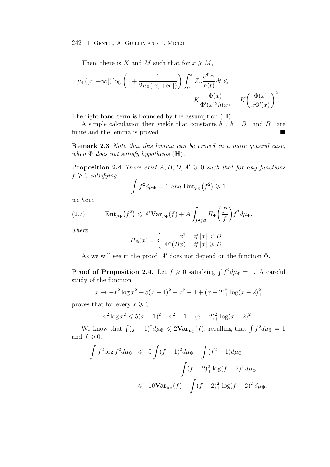Then, there is K and M such that for  $x \geqslant M$ ,

$$
\mu_\Phi([x,+\infty[)\log\left(1+\frac{1}{2\mu_\Phi([x,+\infty[)})\right)\int_0^xZ_\Phi\frac{e^{\Phi(t)}}{h(t)}dt\leqslant\\qquad \qquad K\frac{\Phi(x)}{\Phi'(x)^2h(x)}=K\bigg(\frac{\Phi(x)}{x\Phi'(x)}\bigg)^2.
$$

The right hand term is bounded by the assumption (**H**).

A simple calculation then yields that constants  $b_+$ ,  $b_-$ ,  $B_+$  and  $B_-$  are finite and the lemma is proved.

**Remark 2.3** *Note that this lemma can be proved in a more general case, when* Φ *does not satisfy hypothesis* (**H**)*.*

**Proposition 2.4** *There exist*  $A, B, D, A' \geq 0$  *such that for any functions*  $f \geqslant 0$  *satisfying* 

$$
\int f^2 d\mu_{\Phi} = 1 \ and \ \mathbf{Ent}_{\mu_{\Phi}}(f^2) \geq 1
$$

*we have*

(2.7) 
$$
\mathbf{Ent}_{\mu_{\Phi}}(f^2) \leqslant A' \mathbf{Var}_{\mu_{\Phi}}(f) + A \int_{f^2 \geqslant 2} H_{\Phi}\left(\frac{f'}{f}\right) f^2 d\mu_{\Phi},
$$

*where*

$$
H_{\Phi}(x) = \begin{cases} x^2 & \text{if } |x| < D, \\ \Phi^*(Bx) & \text{if } |x| \ge D. \end{cases}
$$

As we will see in the proof,  $A'$  does not depend on the function  $\Phi$ .

**Proof of Proposition 2.4.** Let  $f \ge 0$  satisfying  $\int f^2 d\mu_{\Phi} = 1$ . A careful study of the function

$$
x \to -x^2 \log x^2 + 5(x-1)^2 + x^2 - 1 + (x-2)^2 + \log(x-2)^2 +
$$

proves that for every  $x \geqslant 0$ 

$$
x^{2} \log x^{2} \leqslant 5(x-1)^{2} + x^{2} - 1 + (x-2)^{2}_{+} \log(x-2)^{2}_{+}.
$$

We know that  $\int (f-1)^2 d\mu_{\Phi} \leq 2\mathbf{Var}_{\mu_{\Phi}}(f)$ , recalling that  $\int f^2 d\mu_{\Phi} = 1$ and  $f \geqslant 0$ ,

$$
\int f^2 \log f^2 d\mu_{\Phi} \leqslant 5 \int (f-1)^2 d\mu_{\Phi} + \int (f^2 - 1) d\mu_{\Phi}
$$
  
+ 
$$
\int (f-2)^2_{+} \log (f-2)^2_{+} d\mu_{\Phi}
$$
  

$$
\leqslant 10 \text{Var}_{\mu_{\Phi}}(f) + \int (f-2)^2_{+} \log (f-2)^2_{+} d\mu_{\Phi}.
$$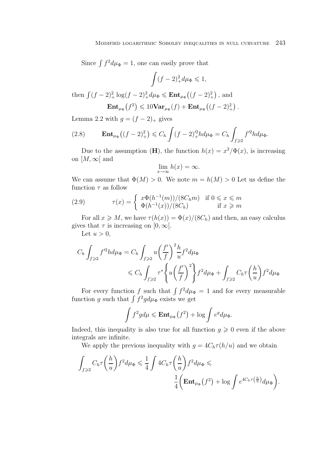Since  $\int f^2 d\mu_{\Phi} = 1$ , one can easily prove that

$$
\int (f-2)_+^2 d\mu_{\Phi} \leqslant 1,
$$

then  $\int (f-2)^2_+ \log(f-2)^2_+ d\mu_{\Phi} \leq \mathbf{Ent}_{\mu_{\Phi}}((f-2)^2_+)$ , and  $\mathbf{Ent}_{\mu_{\Phi}}(f^2) \leq 10 \mathbf{Var}_{\mu_{\Phi}}(f) + \mathbf{Ent}_{\mu_{\Phi}}((f-2)^2_+)$ .

Lemma 2.2 with 
$$
g = (f - 2)_+
$$
 gives

(2.8) 
$$
\mathbf{Ent}_{\mu_{\Phi}}\left((f-2)^2_{+}\right) \leqslant C_h \int (f-2)^{\prime 2}_{+} h d\mu_{\Phi} = C_h \int_{f \geqslant 2} f^{\prime 2} h d\mu_{\Phi}.
$$

Due to the assumption (**H**), the function  $h(x) = x^2/\Phi(x)$ , is increasing on  $[M, \infty]$  and

$$
\lim_{x \to \infty} h(x) = \infty.
$$

We can assume that  $\Phi(M) > 0$ . We note  $m = h(M) > 0$  Let us define the function  $\tau$  as follow

(2.9) 
$$
\tau(x) = \begin{cases} x\Phi(h^{-1}(m))/(8C_h m) & \text{if } 0 \le x \le m\\ \Phi(h^{-1}(x))/(8C_h) & \text{if } x \ge m \end{cases}
$$

For all  $x \ge M$ , we have  $\tau(h(x)) = \Phi(x)/(8C_h)$  and then, an easy calculus gives that  $\tau$  is increasing on [0,  $\infty$ [.

Let  $u > 0$ ,

$$
C_h \int_{f \geqslant 2} f'^2 h d\mu_{\Phi} = C_h \int_{f \geqslant 2} u \left( \frac{f'}{f} \right)^2 \frac{h}{u} f^2 d\mu_{\Phi}
$$
  
\$\leqslant C\_h \int\_{f \geqslant 2} \tau^\* \left\{ u \left( \frac{f'}{f} \right)^2 \right\} f^2 d\mu\_{\Phi} + \int\_{f \geqslant 2} C\_h \tau \left( \frac{h}{u} \right) f^2 d\mu\_{\Phi}\$

For every function f such that  $\int f^2 d\mu_{\Phi} = 1$  and for every measurable function g such that  $\int f^2 g d\mu_{\Phi}$  exists we get

$$
\int f^2 g d\mu \leqslant \mathbf{Ent}_{\mu_{\Phi}}(f^2) + \log \int e^g d\mu_{\Phi}.
$$

Indeed, this inequality is also true for all function  $g \geqslant 0$  even if the above integrals are infinite.

We apply the previous inequality with  $g = 4C<sub>h</sub> \tau(h/u)$  and we obtain

$$
\int_{f\geqslant 2} C_h \tau\left(\frac{h}{u}\right) f^2 d\mu_{\Phi} \leqslant \frac{1}{4} \int 4C_h \tau\left(\frac{h}{u}\right) f^2 d\mu_{\Phi} \leqslant
$$
\n
$$
\frac{1}{4} \bigg( \mathbf{Ent}_{\mu_{\Phi}}(f^2) + \log \int e^{4C_h \tau\left(\frac{h}{u}\right)} d\mu_{\Phi} \bigg).
$$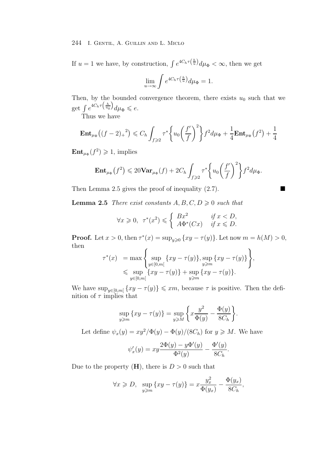If  $u = 1$  we have, by construction,  $\int e^{4C_h \tau(\frac{h}{u})} d\mu_{\Phi} < \infty$ , then we get

$$
\lim_{u \to \infty} \int e^{4C_h \tau\left(\frac{h}{u}\right)} d\mu_{\Phi} = 1.
$$

Then, by the bounded convergence theorem, there exists  $u_0$  such that we get  $\int e^{4C_h \tau\left(\frac{h}{u_0}\right)} d\mu_{\Phi} \leqslant e.$ 

Thus we have

$$
\mathbf{Ent}_{\mu_{\Phi}}\big((f-2)_{+}^{2}\big) \leqslant C_{h} \int_{f\geqslant 2} \tau^{*}\bigg\{u_{0}\bigg(\frac{f'}{f}\bigg)^{2}\bigg\}f^{2}d\mu_{\Phi} + \frac{1}{4}\mathbf{Ent}_{\mu_{\Phi}}\big(f^{2}\big) + \frac{1}{4}
$$

 $\mathbf{Ent}_{\mu_{\Phi}}(f^2) \geq 1$ , implies

$$
\mathbf{Ent}_{\mu_{\Phi}}(f^2) \leq 20 \mathbf{Var}_{\mu_{\Phi}}(f) + 2C_h \int_{f \geq 2} \tau^* \left\{ u_0 \left( \frac{f'}{f} \right)^2 \right\} f^2 d\mu_{\Phi}.
$$

Then Lemma 2.5 gives the proof of inequality  $(2.7)$ .

**Lemma 2.5** *There exist constants*  $A, B, C, D \geq 0$  *such that* 

$$
\forall x \geq 0, \ \ \tau^*(x^2) \leq \begin{cases} Bx^2 & \text{if } x < D, \\ A\Phi^*(Cx) & \text{if } x \leq D. \end{cases}
$$

**Proof.** Let  $x > 0$ , then  $\tau^*(x) = \sup_{y \geq 0} \{xy - \tau(y)\}\)$ . Let now  $m = h(M) > 0$ , then

$$
\tau^*(x) = \max \left\{ \sup_{y \in [0,m[} \{ xy - \tau(y) \}, \sup_{y \ge m} \{ xy - \tau(y) \} \right\}, \\ \leq \sup_{y \in [0,m[} \{ xy - \tau(y) \} + \sup_{y \ge m} \{ xy - \tau(y) \}.
$$

We have  $\sup_{y \in [0,m]} \{xy - \tau(y)\} \leq xm$ , because  $\tau$  is positive. Then the definition of  $\tau$  implies that nition of  $\tau$  implies that

$$
\sup_{y \ge m} \{xy - \tau(y)\} = \sup_{y \ge M} \left\{ x \frac{y^2}{\Phi(y)} - \frac{\Phi(y)}{8C_h} \right\}.
$$

Let define  $\psi_x(y) = xy^2/\Phi(y) - \Phi(y)/(8C_h)$  for  $y \ge M$ . We have

$$
\psi'_x(y) = xy \frac{2\Phi(y) - y\Phi'(y)}{\Phi^2(y)} - \frac{\Phi'(y)}{8C_h}
$$

.

Due to the property  $(H)$ , there is  $D > 0$  such that

$$
\forall x \geqslant D, \ \ \sup_{y \geqslant m} \{xy - \tau(y)\} = x \frac{y_x^2}{\Phi(y_x)} - \frac{\Phi(y_x)}{8C_h},
$$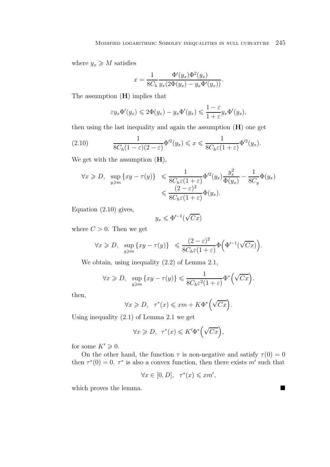where  $y_x \geqslant M$  satisfies

$$
x = \frac{1}{8C_h} \frac{\Phi'(y_x)\Phi^2(y_x)}{y_x(2\Phi(y_x) - y_x\Phi'(y_x))}.
$$

The assumption (**H**) implies that

$$
\varepsilon y_x \Phi'(y_x) \leq 2\Phi(y_x) - y_x \Phi'(y_x) \leq \frac{1-\varepsilon}{1+\varepsilon} y_x \Phi'(y_x),
$$

then using the last inequality and again the assumption (**H**) one get

(2.10) 
$$
\frac{1}{8C_h(1-\varepsilon)(2-\varepsilon)}\Phi'^2(y_x) \leqslant x \leqslant \frac{1}{8C_h\varepsilon(1+\varepsilon)}\Phi'^2(y_x).
$$

We get with the assumption (**H**),

$$
\forall x \geq D, \quad \sup_{y \geq m} \{xy - \tau(y)\} \leq \frac{1}{8C_h \varepsilon (1+\varepsilon)} \Phi'^2(y_x) \frac{y_x^2}{\Phi(y_x)} - \frac{1}{8C_y} \Phi(y_x)
$$

$$
\leq \frac{(2-\varepsilon)^2}{8C_h \varepsilon (1+\varepsilon)} \Phi(y_x).
$$

Equation (2.10) gives,

$$
y_x \leqslant \Phi'^{-1}(\sqrt{Cx})
$$

where  $C > 0$ . Then we get

$$
\forall x \geqslant D, \ \ \sup_{y \geqslant m} \{ xy - \tau(y) \} \ \leqslant \frac{(2-\varepsilon)^2}{8C_h \varepsilon (1+\varepsilon)} \Phi\Big(\Phi'^{-1}(\sqrt{Cx})\Big).
$$

We obtain, using inequality (2.2) of Lemma 2.1,

$$
\forall x \geqslant D, \ \ \sup_{y \geqslant m} \{xy - \tau(y)\} \leqslant \frac{1}{8C_h \varepsilon^2 (1+\varepsilon)} \Phi^* \left(\sqrt{Cx}\right).
$$

then,

$$
\forall x \geqslant D, \ \ \tau^*(x) \leqslant xm + K\Phi^*\left(\sqrt{Cx}\right)
$$

.

Using inequality (2.1) of Lemma 2.1 we get

$$
\forall x \geqslant D, \ \ \tau^*(x) \leqslant K'\Phi^*\Big(\sqrt{Cx}\Big),
$$

for some  $K' \geqslant 0$ .

On the other hand, the function  $\tau$  is non-negative and satisfy  $\tau(0) = 0$ then  $\tau^*(0) = 0$ .  $\tau^*$  is also a convex function, then there exists m' such that

$$
\forall x \in [0, D], \quad \tau^*(x) \leqslant x m',
$$

which proves the lemma.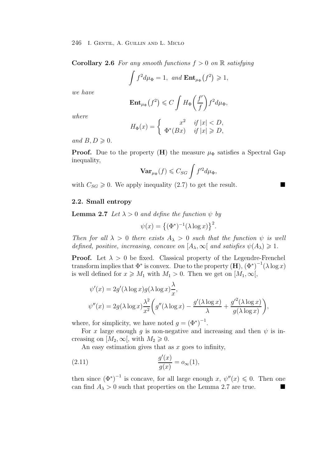**Corollary 2.6** *For any smooth functions*  $f > 0$  *on*  $\mathbb{R}$  *satisfying* 

$$
\int f^2 d\mu_{\Phi} = 1, \text{ and } \mathbf{Ent}_{\mu_{\Phi}}(f^2) \geq 1,
$$

*we have*

$$
\mathbf{Ent}_{\mu_{\Phi}}(f^2) \leqslant C \int H_{\Phi}\left(\frac{f'}{f}\right) f^2 d\mu_{\Phi},
$$

*where*

$$
H_{\Phi}(x) = \begin{cases} x^2 & \text{if } |x| < D, \\ \Phi^*(Bx) & \text{if } |x| \ge D, \end{cases}
$$

and  $B, D \geqslant 0$ .

**Proof.** Due to the property (**H**) the measure  $\mu_{\Phi}$  satisfies a Spectral Gap inequality,

$$
\mathbf{Var}_{\mu_{\Phi}}(f) \leqslant C_{SG}\int f'^2 d\mu_{\Phi},
$$

with  $C_{SG} \geq 0$ . We apply inequality (2.7) to get the result.

#### **2.2. Small entropy**

**Lemma 2.7** *Let*  $\lambda > 0$  *and define the function*  $\psi$  *by* 

$$
\psi(x) = \left\{ (\Phi^*)^{-1} (\lambda \log x) \right\}^2.
$$

*Then for all*  $\lambda > 0$  *there exists*  $A_{\lambda} > 0$  *such that the function*  $\psi$  *is well defined, positive, increasing, concave on*  $[A_{\lambda}, \infty[$  *and satisfies*  $\psi(A_{\lambda}) \geq 1$ *.* 

**Proof.** Let  $\lambda > 0$  be fixed. Classical property of the Legendre-Frenchel transform implies that  $\Phi^*$  is convex. Due to the property  $(\mathbf{H})$ ,  $(\Phi^*)^{-1}(\lambda \log x)$ is well defined for  $x \geqslant M_1$  with  $M_1 > 0$ . Then we get on  $[M_1, \infty[,$ 

$$
\psi'(x) = 2g'(\lambda \log x)g(\lambda \log x)\frac{\lambda}{x},
$$
  

$$
\psi''(x) = 2g(\lambda \log x)\frac{\lambda^2}{x^2}\bigg(g''(\lambda \log x) - \frac{g'(\lambda \log x)}{\lambda} + \frac{g'^2(\lambda \log x)}{g(\lambda \log x)}\bigg),
$$

where, for simplicity, we have noted  $g = (\Phi^*)^{-1}$ .

For x large enough g is non-negative and increasing and then  $\psi$  is increasing on  $[M_2, \infty],$  with  $M_2 \geq 0$ .

An easy estimation gives that as  $x$  goes to infinity,

(2.11) 
$$
\frac{g'(x)}{g(x)} = o_{\infty}(1),
$$

then since  $(\Phi^*)^{-1}$  is concave, for all large enough x,  $\psi''(x) \leq 0$ . Then one can find  $A_{\lambda} > 0$  such that properties on the Lemma 2.7 are true.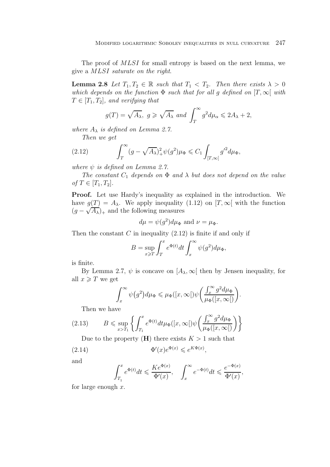The proof of *MLSI* for small entropy is based on the next lemma, we give a MLSI *saturate on the right*.

**Lemma 2.8** *Let*  $T_1, T_2 \in \mathbb{R}$  *such that*  $T_1 < T_2$ *. Then there exists*  $\lambda > 0$ *which depends on the function*  $\Phi$  *such that for all g defined on*  $[T, \infty)$  *with*  $T \in [T_1, T_2]$ , and verifying that

$$
g(T) = \sqrt{A_{\lambda}}, g \ge \sqrt{A_{\lambda}} \text{ and } \int_{T}^{\infty} g^{2} d\mu_{\alpha} \le 2A_{\lambda} + 2,
$$

*where*  $A_{\lambda}$  *is defined on Lemma 2.7.* 

*Then we get*

(2.12) 
$$
\int_T^{\infty} (g - \sqrt{A_{\lambda}})_+^2 \psi(g^2) \mu_{\Phi} \leq C_1 \int_{[T,\infty[} g'^2 d\mu_{\Phi},
$$

*where*  $\psi$  *is defined on Lemma 2.7.* 

*The constant*  $C_1$  *depends on*  $\Phi$  *and*  $\lambda$  *but does not depend on the value*  $of T \in [T_1, T_2]$ .

**Proof.** Let use Hardy's inequality as explained in the introduction. We have  $g(T) = A_{\lambda}$ . We apply inequality (1.12) on  $[T, \infty]$  with the function  $(g - \sqrt{A_{\lambda}})_+$  and the following measures

$$
d\mu = \psi(g^2)d\mu_{\Phi}
$$
 and  $\nu = \mu_{\Phi}$ .

Then the constant  $C$  in inequality  $(2.12)$  is finite if and only if

$$
B = \sup_{x \geq T} \int_T^x e^{\Phi(t)} dt \int_x^\infty \psi(g^2) d\mu_\Phi,
$$

is finite.

By Lemma 2.7,  $\psi$  is concave on  $[A_\lambda, \infty]$  then by Jensen inequality, for all  $x \geqslant T$  we get

$$
\int_x^{\infty} \psi(g^2) d\mu_{\Phi} \leq \mu_{\Phi}([x,\infty[)\psi\left(\frac{\int_x^{\infty} g^2 d\mu_{\Phi}}{\mu_{\Phi}([x,\infty[)}\right).
$$

Then we have

(2.13) 
$$
B \leq \sup_{x > T_1} \left\{ \int_{T_1}^x e^{\Phi(t)} dt \mu_{\Phi}([x, \infty[) \psi\left(\frac{\int_x^{\infty} g^2 d\mu_{\Phi}}{\mu_{\Phi}([x, \infty[)}\right) \right\}
$$

Due to the property  $(H)$  there exists  $K > 1$  such that

(2.14) 
$$
\Phi'(x)e^{\Phi(x)} \leqslant e^{K\Phi(x)},
$$

and

$$
\int_{T_1}^x e^{\Phi(t)} dt \leqslant \frac{Ke^{\Phi(x)}}{\Phi'(x)}, \quad \int_x^\infty e^{-\Phi(t)} dt \leqslant \frac{e^{-\Phi(x)}}{\Phi'(x)},
$$

for large enough  $x$ .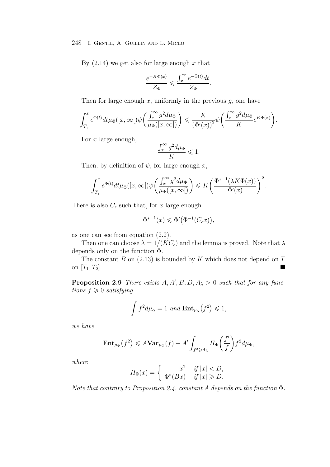By  $(2.14)$  we get also for large enough x that

$$
\frac{e^{-K\Phi(x)}}{Z_\Phi}\leqslant \frac{\int_x^\infty e^{-\Phi(t)}dt}{Z_\Phi}.
$$

Then for large enough x, uniformly in the previous  $q$ , one have

$$
\int_{T_1}^x e^{\Phi(t)} dt \mu_{\Phi}([x,\infty[)\psi\left(\frac{\int_x^{\infty} g^2 d\mu_{\Phi}}{\mu_{\Phi}([x,\infty[)}\right) \leqslant \frac{K}{\left(\Phi'(x)\right)^2} \psi\left(\frac{\int_x^{\infty} g^2 d\mu_{\Phi}}{K} e^{K\Phi(x)}\right).
$$

For  $x$  large enough,

$$
\frac{\int_x^\infty g^2 d\mu_\Phi}{K} \leqslant 1.
$$

Then, by definition of  $\psi$ , for large enough x,

$$
\int_{T_1}^x e^{\Phi(t)} dt \mu_{\Phi}([x,\infty[)\psi\left(\frac{\int_x^{\infty} g^2 d\mu_{\Phi}}{\mu_{\Phi}([x,\infty[)}\right) \leqslant K\left(\frac{\Phi^{*-1}(\lambda K \Phi(x))}{\Phi'(x)}\right)^2.
$$

There is also  $C_{\epsilon}$  such that, for x large enough

$$
\Phi^{*-1}(x) \leq \Phi'\big(\Phi^{-1}(C_{\epsilon}x)\big),\,
$$

as one can see from equation (2.2).

Then one can choose  $\lambda = 1/(KC_{\epsilon})$  and the lemma is proved. Note that  $\lambda$ depends only on the function Φ.

The constant  $B$  on  $(2.13)$  is bounded by  $K$  which does not depend on  $T$ on  $[T_1, T_2]$ .

**Proposition 2.9** *There exists*  $A, A', B, D, A_\lambda > 0$  *such that for any functions*  $f > 0$  *extinguing*  $tions f \geqslant 0$  *satisfying* 

$$
\int f^2 d\mu_{\alpha} = 1 \ and \ \mathbf{Ent}_{\mu_{\alpha}}(f^2) \leq 1,
$$

*we have*

$$
\mathbf{Ent}_{\mu_{\Phi}}(f^2) \leq A \mathbf{Var}_{\mu_{\Phi}}(f) + A' \int_{f^2 \geq A_{\lambda}} H_{\Phi}\left(\frac{f'}{f}\right) f^2 d\mu_{\Phi},
$$

*where*

$$
H_{\Phi}(x) = \begin{cases} x^2 & \text{if } |x| < D, \\ \Phi^*(Bx) & \text{if } |x| \ge D. \end{cases}
$$

*Note that contrary to Proposition 2.4, constant* A *depends on the function* Φ*.*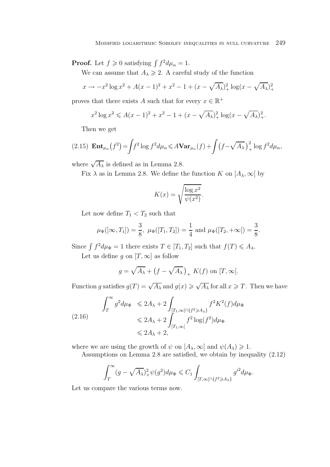**Proof.** Let  $f \ge 0$  satisfying  $\int f^2 d\mu_\alpha = 1$ .

We can assume that  $A_{\lambda} \geq 2$ . A careful study of the function

$$
x \to -x^2 \log x^2 + A(x-1)^2 + x^2 - 1 + (x - \sqrt{A_{\lambda}})^2 + \log(x - \sqrt{A_{\lambda}})^2 +
$$

proves that there exists A such that for every  $x \in \mathbb{R}^+$ 

$$
x^{2} \log x^{2} \leqslant A(x-1)^{2} + x^{2} - 1 + (x - \sqrt{A_{\lambda}})_{+}^{2} \log(x - \sqrt{A_{\lambda}})_{+}^{2}.
$$

Then we get

(2.15) 
$$
\mathbf{Ent}_{\mu_{\alpha}}(f^{2}) = \int f^{2} \log f^{2} d\mu_{\alpha} \leq A \mathbf{Var}_{\mu_{\alpha}}(f) + \int \left(f - \sqrt{A_{\lambda}}\right)^{2}_{+} \log f^{2} d\mu_{\alpha},
$$

where  $\sqrt{A_{\lambda}}$  is defined as in Lemma 2.8.

Fix  $\lambda$  as in Lemma 2.8. We define the function K on  $[A_{\lambda}, \infty]$  by

$$
K(x) = \sqrt{\frac{\log x^2}{\psi(x^2)}}.
$$

Let now define  $T_1 < T_2$  such that

$$
\mu_{\Phi}([\infty, T_1]) = \frac{3}{8}, \ \mu_{\Phi}([T_1, T_2]) = \frac{1}{4} \text{ and } \mu_{\Phi}([T_2, +\infty]) = \frac{3}{8}.
$$

Since  $\int f^2 d\mu_{\Phi} = 1$  there exists  $T \in [T_1, T_2]$  such that  $f(T) \leq A_{\lambda}$ .

Let us define g on  $[T, \infty]$  as follow

$$
g = \sqrt{A_{\lambda}} + (f - \sqrt{A_{\lambda}})_{+} K(f)
$$
 on  $[T, \infty[$ .

Function g satisfies  $g(T) = \sqrt{A_{\lambda}}$  and  $g(x) \ge \sqrt{A_{\lambda}}$  for all  $x \ge T$ . Then we have

$$
\int_{T}^{\infty} g^{2} d\mu_{\Phi} \le 2A_{\lambda} + 2 \int_{[T_{1}, \infty \lceil \eta f^{2} \ge A_{\lambda}]} f^{2} K^{2}(f) d\mu_{\Phi}
$$
\n
$$
\le 2A_{\lambda} + 2 \int_{[T_{1}, \infty \lceil} f^{2} \log(f^{2}) d\mu_{\Phi}
$$
\n
$$
\le 2A_{\lambda} + 2,
$$

where we are using the growth of  $\psi$  on  $[A_\lambda, \infty]$  and  $\psi(A_\lambda) \geq 1$ .

Assumptions on Lemma 2.8 are satisfied, we obtain by inequality (2.12)

$$
\int_T^{\infty} (g - \sqrt{A_{\lambda}})_+^2 \psi(g^2) d\mu_{\Phi} \leq C_1 \int_{[T,\infty[ \cap \{f^2 \geq A_{\lambda}\}} g'^2 d\mu_{\Phi}.
$$

Let us compare the various terms now.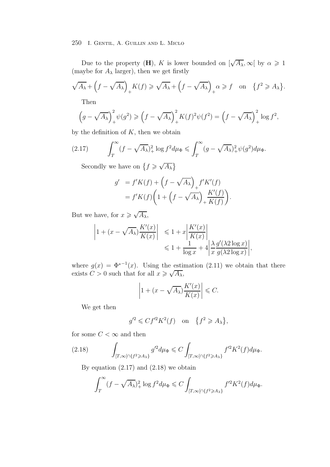Due to the property (**H**), K is lower bounded on  $[\sqrt{A_{\lambda}}, \infty]$  by  $\alpha \geq 1$ (maybe for  $A_{\lambda}$  larger), then we get firstly

$$
\sqrt{A_{\lambda}} + \left(f - \sqrt{A_{\lambda}}\right)_{+} K(f) \geqslant \sqrt{A_{\lambda}} + \left(f - \sqrt{A_{\lambda}}\right)_{+} \alpha \geqslant f \quad \text{on} \quad \{f^{2} \geqslant A_{\lambda}\}.
$$

Then

$$
\left(g - \sqrt{A_{\lambda}}\right)^2_{+} \psi(g^2) \ge \left(f - \sqrt{A_{\lambda}}\right)^2_{+} K(f)^2 \psi(f^2) = \left(f - \sqrt{A_{\lambda}}\right)^2_{+} \log f^2,
$$

by the definition of  $K$ , then we obtain

(2.17) 
$$
\int_T^{\infty} (f - \sqrt{A_{\lambda}})_+^2 \log f^2 d\mu_{\Phi} \le \int_T^{\infty} (g - \sqrt{A_{\lambda}})_+^2 \psi(g^2) d\mu_{\Phi}.
$$

Secondly we have on  $\{f \ge \sqrt{A_{\lambda}}\}$ 

$$
g' = f'K(f) + \left(f - \sqrt{A_{\lambda}}\right)_{+} f'K'(f)
$$
  
=  $f'K(f) \left(1 + \left(f - \sqrt{A_{\lambda}}\right)_{+} \frac{K'(f)}{K(f)}\right)$ 

.

But we have, for  $x \ge \sqrt{A_{\lambda}}$ ,

$$
\left| 1 + (x - \sqrt{A_{\lambda}}) \frac{K'(x)}{K(x)} \right| \leq 1 + x \left| \frac{K'(x)}{K(x)} \right|
$$
  

$$
\leq 1 + \frac{1}{\log x} + 4 \left| \frac{\lambda}{x} \frac{g'(\lambda 2 \log x)}{g(\lambda 2 \log x)} \right|,
$$

where  $g(x) = \Phi^{*-1}(x)$ . Using the estimation (2.11) we obtain that there where  $g(x) = \Psi$  (*x*). Using the estimate exists  $C > 0$  such that for all  $x \ge \sqrt{A_{\lambda}}$ ,

$$
\left|1 + (x - \sqrt{A_{\lambda}}) \frac{K'(x)}{K(x)}\right| \leq C.
$$

We get then

$$
g'^2 \leqslant Cf'^2K^2(f) \quad \text{on} \quad \{f^2 \geqslant A_\lambda\},
$$

for some  $C<\infty$  and then

(2.18) 
$$
\int_{[T,\infty[\cap\{f^2\geq A_\lambda\}} g'^2 d\mu_{\Phi} \leq C \int_{[T,\infty[\cap\{f^2\geq A_\lambda\}} f'^2 K^2(f) d\mu_{\Phi}.
$$

By equation  $(2.17)$  and  $(2.18)$  we obtain

$$
\int_T^{\infty} (f - \sqrt{A_{\lambda}})_+^2 \log f^2 d\mu_{\Phi} \leqslant C \int_{[T,\infty[ \cap \{f^2 \geqslant A_{\lambda}\}} f'^2 K^2(f) d\mu_{\Phi}.
$$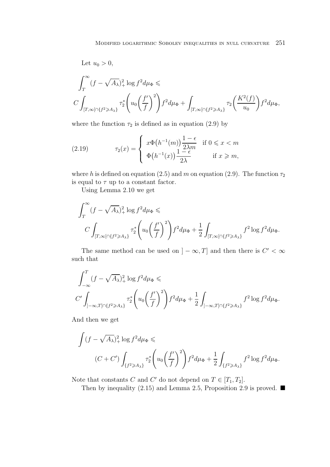Let  $u_0 > 0$ ,

$$
\int_{T}^{\infty} (f - \sqrt{A_{\lambda}})_{+}^{2} \log f^{2} d\mu_{\Phi} \le
$$
  

$$
C \int_{[T,\infty[ \cap \{f^{2} \geq A_{\lambda}\}} \tau_{2}^{*} \left(u_{0} \left(\frac{f'}{f}\right)^{2}\right) f^{2} d\mu_{\Phi} + \int_{[T,\infty[ \cap \{f^{2} \geq A_{\lambda}\}} \tau_{2} \left(\frac{K^{2}(f)}{u_{0}}\right) f^{2} d\mu_{\Phi},
$$

where the function  $\tau_2$  is defined as in equation (2.9) by

(2.19) 
$$
\tau_2(x) = \begin{cases} x\Phi(h^{-1}(m))\frac{1-\epsilon}{2\lambda m} & \text{if } 0 \leq x < m\\ \Phi(h^{-1}(x))\frac{1-\epsilon}{2\lambda} & \text{if } x \geq m, \end{cases}
$$

where h is defined on equation (2.5) and m on equation (2.9). The function  $\tau_2$ is equal to  $\tau$  up to a constant factor.

Using Lemma 2.10 we get

$$
\int_{T}^{\infty} (f - \sqrt{A_{\lambda}})_+^2 \log f^2 d\mu_{\Phi} \le
$$
  

$$
C \int_{[T,\infty[ \cap \{f^2 \ge A_{\lambda}\}} \tau_2^* \left(u_0 \left(\frac{f'}{f}\right)^2\right) f^2 d\mu_{\Phi} + \frac{1}{2} \int_{[T,\infty[ \cap \{f^2 \ge A_{\lambda}\}} f^2 \log f^2 d\mu_{\Phi}.
$$

The same method can be used on  $]-\infty,T]$  and then there is  $C' < \infty$ such that

$$
\int_{-\infty}^{T} (f - \sqrt{A_{\lambda}})^2 + \log f^2 d\mu_{\Phi} \le
$$
\n
$$
C' \int_{]-\infty, T] \cap \{f^2 \ge A_{\lambda}\}} \tau_2^* \left( u_0 \left( \frac{f'}{f} \right)^2 \right) f^2 d\mu_{\Phi} + \frac{1}{2} \int_{]-\infty, T] \cap \{f^2 \ge A_{\lambda}\}} f^2 \log f^2 d\mu_{\Phi}.
$$

And then we get

$$
\int (f - \sqrt{A_{\lambda}})_+^2 \log f^2 d\mu_{\Phi} \le
$$
\n
$$
(C + C') \int_{\{f^2 \ge A_{\lambda}\}} \tau_2^* \left( u_0 \left( \frac{f'}{f} \right)^2 \right) f^2 d\mu_{\Phi} + \frac{1}{2} \int_{\{f^2 \ge A_{\lambda}\}} f^2 \log f^2 d\mu_{\Phi}.
$$

Note that constants C and C' do not depend on  $T \in [T_1, T_2]$ .

Then by inequality (2.15) and Lemma 2.5, Proposition 2.9 is proved.  $\blacksquare$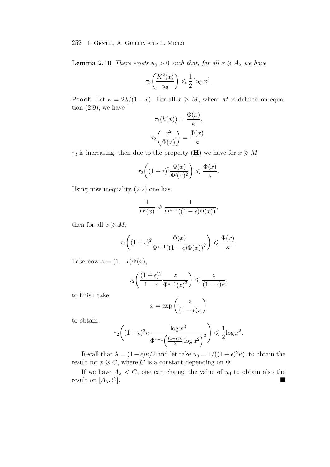**Lemma 2.10** *There exists*  $u_0 > 0$  *such that, for all*  $x \geq A_\lambda$  *we have* 

$$
\tau_2\bigg(\frac{K^2(x)}{u_0}\bigg) \leqslant \frac{1}{2}\log x^2.
$$

**Proof.** Let  $\kappa = 2\lambda/(1 - \epsilon)$ . For all  $x \geq M$ , where M is defined on equation  $(2.9)$ , we have

$$
\tau_2(h(x)) = \frac{\Phi(x)}{\kappa},
$$

$$
\tau_2\left(\frac{x^2}{\Phi(x)}\right) = \frac{\Phi(x)}{\kappa}.
$$

 $\tau_2$  is increasing, then due to the property (**H**) we have for  $x \geqslant M$ 

$$
\tau_2\bigg((1+\epsilon)^2 \frac{\Phi(x)}{\Phi'(x)^2}\bigg) \leqslant \frac{\Phi(x)}{\kappa}.
$$

Using now inequality (2.2) one has

$$
\frac{1}{\Phi'(x)} \geqslant \frac{1}{\Phi^{*-1}((1-\epsilon)\Phi(x))},
$$

then for all  $x \geqslant M$ ,

$$
\tau_2\bigg((1+\epsilon)^2 \frac{\Phi(x)}{\Phi^{*-1}((1-\epsilon)\Phi(x))^2}\bigg) \leqslant \frac{\Phi(x)}{\kappa}.
$$

Take now  $z = (1 - \epsilon)\Phi(x)$ ,

$$
\tau_2 \bigg( \frac{(1+\epsilon)^2}{1-\epsilon} \frac{z}{\Phi^{*-1}(z)^2} \bigg) \leqslant \frac{z}{(1-\epsilon)\kappa},
$$

to finish take

$$
x = \exp\left(\frac{z}{(1 - \epsilon)\kappa}\right)
$$

to obtain

$$
\tau_2 \bigg( (1+\epsilon)^2 \kappa \frac{\log x^2}{\Phi^{*-1} \left( \frac{(1-\epsilon)\kappa}{2} \log x^2 \right)^2} \bigg) \leqslant \frac{1}{2} \log x^2.
$$

Recall that  $\lambda = (1 - \epsilon)\kappa/2$  and let take  $u_0 = 1/((1 + \epsilon)^2 \kappa)$ , to obtain the result for  $x \geqslant C$ , where C is a constant depending on  $\Phi$ .

If we have  $A_{\lambda} < C$ , one can change the value of  $u_0$  to obtain also the ult on  $[A_{\lambda}, C]$ result on  $[A_\lambda, C]$ .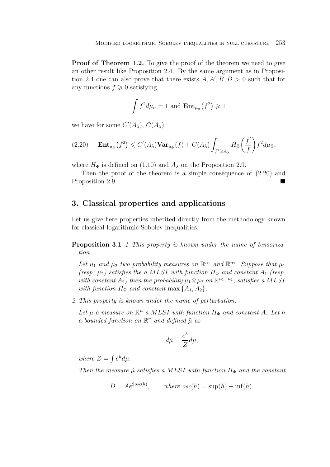**Proof of Theorem 1.2.** To give the proof of the theorem we need to give an other result like Proposition 2.4. By the same argument as in Proposition 2.4 one can also prove that there exists  $A, A', B, D > 0$  such that for any functions  $f \geqslant 0$  satisfying

$$
\int f^2 d\mu_{\alpha} = 1 \text{ and } \mathbf{Ent}_{\mu_{\alpha}}(f^2) \geq 1
$$

we have for some  $C'(A_{\lambda}), C(A_{\lambda})$ 

$$
(2.20) \quad \mathbf{Ent}_{\mu_{\Phi}}(f^2) \leqslant C'(A_{\lambda}) \mathbf{Var}_{\mu_{\Phi}}(f) + C(A_{\lambda}) \int_{f^2 \geqslant A_{\lambda}} H_{\Phi}\left(\frac{f'}{f}\right) f^2 d\mu_{\Phi},
$$

where  $H_{\Phi}$  is defined on (1.10) and  $A_{\lambda}$  on the Proposition 2.9.

Then the proof of the theorem is a simple consequence of (2.20) and Proposition 2.9.

# **3. Classical properties and applications**

Let us give here properties inherited directly from the methodology known for classical logarithmic Sobolev inequalities.

**Proposition 3.1** *1 This property is known under the name of tensorization.*

Let  $\mu_1$  and  $\mu_2$  *two probability measures on*  $\mathbb{R}^{n_1}$  *and*  $\mathbb{R}^{n_2}$ *. Suppose that*  $\mu_1$ *(resp.*  $\mu_2$ *) satisfies the a MLSI with function*  $H_{\Phi}$  *and constant*  $A_1$  *(resp. with constant*  $A_2$ *) then the probability*  $\mu_1 \otimes \mu_2$  *on*  $\mathbb{R}^{n_1+n_2}$ *, satisfies a MLSI with function*  $H_{\Phi}$  *and constant* max  $\{A_1, A_2\}$ .

*2 This property is known under the name of perturbation.*

*Let*  $\mu$  *a* measure on  $\mathbb{R}^n$  *a* MLSI with function  $H_{\Phi}$  and constant A. Let h *a bounded function on*  $\mathbb{R}^n$  *and defined*  $\tilde{\mu}$  *as* 

$$
d\tilde{\mu} = \frac{e^h}{Z} d\mu,
$$

*where*  $Z = \int e^{h} d\mu$ .

*Then the measure*  $\tilde{\mu}$  *satisfies a MLSI with function*  $H_{\Phi}$  *and the constant* 

 $D = Ae^{2osc(h)}$ , where  $osc(h) = \sup(h) - \inf(h)$ .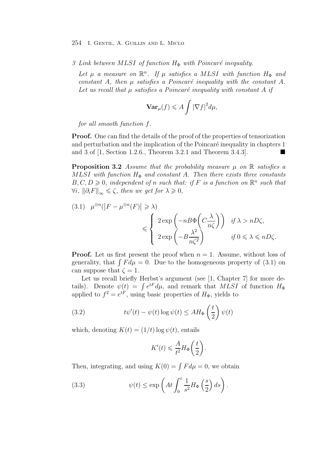*3 Link between MLSI of function*  $H$ <sup> $\Phi$ </sup> *with Poincaré inequality.* 

*Let*  $\mu$  *a* measure on  $\mathbb{R}^n$ . If  $\mu$  satisfies a MLSI with function  $H_{\Phi}$  and *constant* A, then  $\mu$  *satisfies* a *Poincaré inequality with the constant* A. Let us recall that u satisfies a Poincaré inequality with constant A if

$$
\mathbf{Var}_{\mu}(f) \leqslant A \int |\nabla f|^2 d\mu,
$$

*for all smooth function* f*.*

**Proof.** One can find the details of the proof of the properties of tensorization and perturbation and the implication of the Poincaré inequality in chapters 1 and 3 of  $[1, Section 1.2.6., Theorem 3.2.1 and Theorem 3.4.3].$ 

**Proposition 3.2** *Assume that the probability measure*  $\mu$  *on* R *satisfies a*  $MLSI$  with function  $H_{\Phi}$  and constant A. Then there exists three constants  $B, C, D \geq 0$ , independent of n such that: if F is a function on  $\mathbb{R}^n$  such that  $\forall i, \|\partial_i F\|_{\infty} \leqslant \zeta$ , then we get for  $\lambda \geqslant 0$ ,

(3.1) 
$$
\mu^{\otimes n}(|F - \mu^{\otimes n}(F)| \ge \lambda)
$$
  
 $\le \begin{cases} 2 \exp\left(-nB\Phi\left(C\frac{\lambda}{n\zeta}\right)\right) & \text{if } \lambda > nD\zeta, \\ 2 \exp\left(-B\frac{\lambda^2}{n\zeta^2}\right) & \text{if } 0 \le \lambda \le nD\zeta. \end{cases}$ 

**Proof.** Let us first present the proof when  $n = 1$ . Assume, without loss of generality, that  $\int F d\mu = 0$ . Due to the homogeneous property of (3.1) on can suppose that  $\zeta = 1$ .

Let us recall briefly Herbst's argument (see [1, Chapter 7] for more details). Denote  $\psi(t) = \int e^{t} d\mu$ , and remark that MLSI of function  $H_{\Phi}$ applied to  $f^2 = e^{tF}$ , using basic properties of  $H_{\Phi}$ , yields to

(3.2) 
$$
t\psi'(t) - \psi(t)\log\psi(t) \leq AH_{\Phi}\left(\frac{t}{2}\right)\psi(t)
$$

which, denoting  $K(t) = (1/t) \log \psi(t)$ , entails

$$
K'(t)\leqslant \frac{A}{t^2}H_{\Phi}\bigg(\frac{t}{2}\bigg).
$$

Then, integrating, and using  $K(0) = \int F d\mu = 0$ , we obtain

(3.3) 
$$
\psi(t) \le \exp\left(At \int_0^t \frac{1}{s^2} H_{\Phi}\left(\frac{s}{2}\right) ds\right).
$$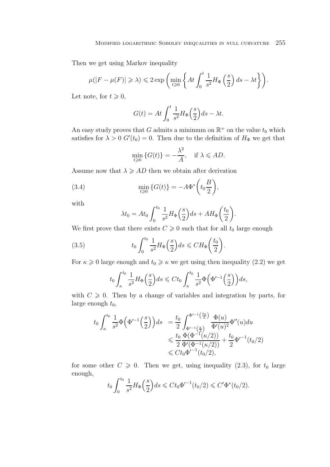Then we get using Markov inequality

$$
\mu(|F - \mu(F)| \ge \lambda) \le 2 \exp\left(\min_{t \ge 0} \left\{ At \int_0^t \frac{1}{s^2} H_{\Phi}\left(\frac{s}{2}\right) ds - \lambda t \right\} \right).
$$

Let note, for  $t \geqslant 0$ ,

$$
G(t) = At \int_0^t \frac{1}{s^2} H_{\Phi}\left(\frac{s}{2}\right) ds - \lambda t.
$$

An easy study proves that G admits a minimum on  $\mathbb{R}^+$  on the value  $t_0$  which satisfies for  $\lambda > 0$   $G'(t_0) = 0$ . Then due to the definition of  $H_{\Phi}$  we get that

$$
\min_{t \geq 0} \{ G(t) \} = -\frac{\lambda^2}{A}, \quad \text{if } \lambda \leqslant AD.
$$

Assume now that  $\lambda \geqslant AD$  then we obtain after derivation

(3.4) 
$$
\min_{t \geq 0} \{G(t)\} = -A\Phi^*\left(t_0 \frac{B}{2}\right),
$$

with

$$
\lambda t_0 = At_0 \int_0^{t_0} \frac{1}{s^2} H_{\Phi}\left(\frac{s}{2}\right) ds + AH_{\Phi}\left(\frac{t_0}{2}\right).
$$

We first prove that there exists  $C \geq 0$  such that for all  $t_0$  large enough

(3.5) 
$$
t_0 \int_0^{t_0} \frac{1}{s^2} H_{\Phi}\left(\frac{s}{2}\right) ds \leq C H_{\Phi}\left(\frac{t_0}{2}\right).
$$

For  $\kappa \geq 0$  large enough and  $t_0 \geq \kappa$  we get using then inequality (2.2) we get

$$
t_0 \int_{\kappa}^{t_0} \frac{1}{s^2} H_{\Phi}\left(\frac{s}{2}\right) ds \leqslant C t_0 \int_{\kappa}^{t_0} \frac{1}{s^2} \Phi\left(\Phi'^{-1}\left(\frac{s}{2}\right)\right) ds,
$$

with  $C \geqslant 0$ . Then by a change of variables and integration by parts, for large enough  $t_0$ ,

$$
t_0 \int_{\kappa}^{t_0} \frac{1}{s^2} \Phi\left(\Phi'^{-1}\left(\frac{s}{2}\right)\right) ds = \frac{t_0}{2} \int_{\Phi'^{-1}\left(\frac{\kappa}{2}\right)}^{\Phi'^{-1}\left(\frac{t_0}{2}\right)} \frac{\Phi(u)}{\Phi'(u)^2} \Phi''(u) du
$$
  
\$\leqslant \frac{t\_0}{2} \frac{\Phi(\Phi^{-1}(\kappa/2))}{\Phi'(\Phi^{-1}(\kappa/2))} + \frac{t\_0}{2} \Phi'^{-1}(t\_0/2)\$  
\$\leqslant C t\_0 \Phi'^{-1}(t\_0/2),\$

for some other  $C \geqslant 0$ . Then we get, using inequality (2.3), for  $t_0$  large enough,

$$
t_0 \int_0^{t_0} \frac{1}{s^2} H_{\Phi}\left(\frac{s}{2}\right) ds \leq C t_0 \Phi'^{-1}(t_0/2) \leq C' \Phi^*(t_0/2).
$$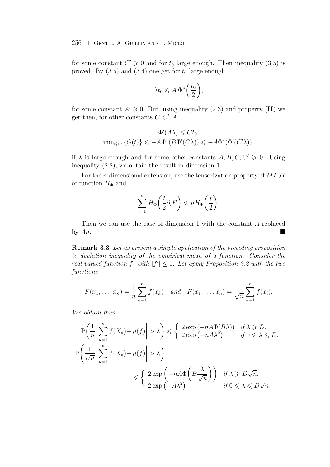for some constant  $C' \geq 0$  and for  $t_0$  large enough. Then inequality (3.5) is proved. By  $(3.5)$  and  $(3.4)$  one get for  $t_0$  large enough,

$$
\lambda t_0 \leqslant A' \Phi^* \bigg( \frac{t_0}{2} \bigg),
$$

for some constant  $A' \geq 0$ . But, using inequality (2.3) and property (**H**) we get then, for other constants  $C, C', A$ ,

$$
\Phi'(A\lambda) \leq C t_0,
$$
  
\n
$$
\min_{t \geq 0} \{ G(t) \} \leq -A \Phi^*(B \Phi'(C\lambda)) \leq -A \Phi^*(\Phi'(C'\lambda)),
$$

if  $\lambda$  is large enough and for some other constants  $A, B, C, C' \geq 0$ . Using inequality (2.2), we obtain the result in dimension 1.

For the *n*-dimensional extension, use the tensorization property of  $MLSI$ of function  $H_{\Phi}$  and

$$
\sum_{i=1}^{n} H_{\Phi}\left(\frac{t}{2}\partial_{i}F\right) \leqslant nH_{\Phi}\left(\frac{t}{2}\right).
$$

Then we can use the case of dimension 1 with the constant A replaced by  $An$ .

**Remark 3.3** *Let us present a simple application of the preceding proposition to deviation inequality of the empirical mean of a function. Consider the real valued function* f, with  $|f'| \leq 1$ . Let apply Proposition 3.2 with the two *functions*

$$
F(x_1,...,x_n) = \frac{1}{n} \sum_{k=1}^n f(x_k)
$$
 and  $F(x_1,...,x_n) = \frac{1}{\sqrt{n}} \sum_{k=1}^n f(x_k)$ .

*We obtain then*

$$
\mathbb{P}\left(\frac{1}{n}\left|\sum_{k=1}^{n}f(X_k)-\mu(f)\right|>\lambda\right) \leq \begin{cases} 2\exp\left(-nA\Phi(B\lambda)\right) & \text{if }\lambda \geq D, \\ 2\exp\left(-nA\lambda^2\right) & \text{if } 0 \leq \lambda \leq D, \end{cases}
$$

$$
\mathbb{P}\left(\frac{1}{\sqrt{n}}\left|\sum_{k=1}^{n}f(X_k)-\mu(f)\right|>\lambda\right)
$$

$$
\leq \begin{cases} 2\exp\left(-nA\Phi\left(B\frac{\lambda}{\sqrt{n}}\right)\right) & \text{if }\lambda \geq D\sqrt{n}, \\ 2\exp\left(-A\lambda^2\right) & \text{if } 0 \leq \lambda \leq D\sqrt{n}. \end{cases}
$$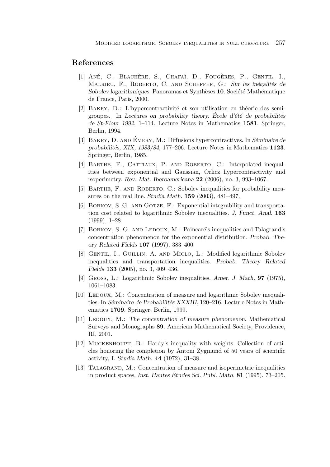## **References**

- [1] ANÉ, C., BLACHÈRE, S., CHAFAÏ, D., FOUGÈRES, P., GENTIL, I., MALRIEU, F., ROBERTO, C. AND SCHEFFER, G.: Sur les inégalités de *Sobolev logarithmiques.* Panoramas et Synthèses **10**. Société Mathématique de France, Paris, 2000.
- [2] BAKRY, D.: L'hypercontractivité et son utilisation en théorie des semigroupes. In *Lectures on probability theory.* École d'été de probabilités *de St-Flour 1992*, 1–114. Lecture Notes in Mathematics **1581**. Springer, Berlin, 1994.
- [3] BAKRY, D. AND EMERY, M.: Diffusions hypercontractives. In *Séminaire de probabilit´es, XIX, 1983/84*, 177–206. Lecture Notes in Mathematics **1123**. Springer, Berlin, 1985.
- [4] BARTHE, F., CATTIAUX, P. AND ROBERTO, C.: Interpolated inequalities between exponential and Gaussian, Orlicz hypercontractivity and isoperimetry. *Rev. Mat. Iberoamericana* **22** (2006), no. 3, 993–1067.
- [5] BARTHE, F. AND ROBERTO, C.: Sobolev inequalities for probability measures on the real line. *Studia Math.* **159** (2003), 481–497.
- [6] BOBKOV, S. G. AND GÖTZE, F.: Exponential integrability and transportation cost related to logarithmic Sobolev inequalities. *J. Funct. Anal.* **163** (1999), 1–28.
- [7] BOBKOV, S. G. AND LEDOUX, M.: Poincaré's inequalities and Talagrand's concentration phenomenon for the exponential distribution. *Probab. Theory Related Fields* **107** (1997), 383–400.
- [8] Gentil, I., Guillin, A. and Miclo, L.: Modified logarithmic Sobolev inequalities and transportation inequalities. *Probab. Theory Related Fields* **133** (2005), no. 3, 409–436.
- [9] Gross, L.: Logarithmic Sobolev inequalities. *Amer. J. Math.* **97** (1975), 1061–1083.
- [10] LEDOUX, M.: Concentration of measure and logarithmic Sobolev inequalities. In *Séminaire de Probabilités XXXIII*, 120–216. Lecture Notes in Mathematics **1709**. Springer, Berlin, 1999.
- [11] Ledoux, M.: *The concentration of measure phenomenon*. Mathematical Surveys and Monographs **89**. American Mathematical Society, Providence, RI, 2001.
- [12] Muckenhoupt, B.: Hardy's inequality with weights. Collection of articles honoring the completion by Antoni Zygmund of 50 years of scientific activity, I. *Studia Math.* **44** (1972), 31–38.
- [13] Talagrand, M.: Concentration of measure and isoperimetric inequalities in product spaces. *Inst. Hautes Etudes Sci. Publ. Math. ´* **81** (1995), 73–205.